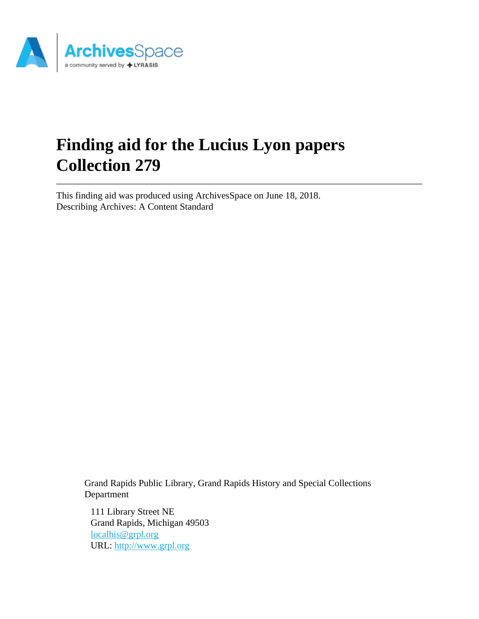

# **Finding aid for the Lucius Lyon papers Collection 279**

This finding aid was produced using ArchivesSpace on June 18, 2018. Describing Archives: A Content Standard

> Grand Rapids Public Library, Grand Rapids History and Special Collections Department

111 Library Street NE Grand Rapids, Michigan 49503 [localhis@grpl.org](mailto:localhis@grpl.org) URL:<http://www.grpl.org>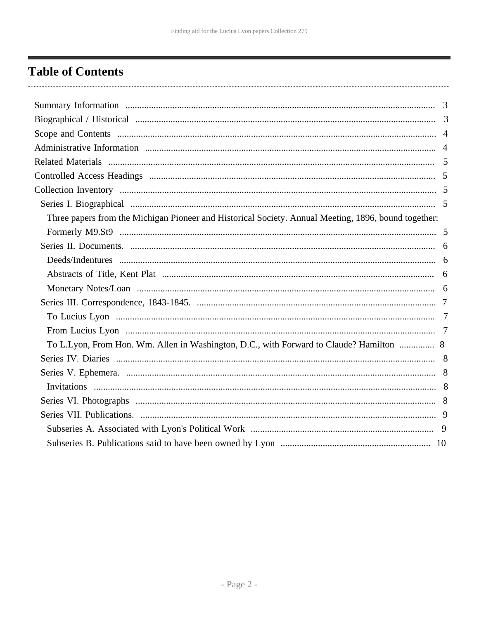# <span id="page-1-0"></span>**Table of Contents**

| Three papers from the Michigan Pioneer and Historical Society. Annual Meeting, 1896, bound together: |  |
|------------------------------------------------------------------------------------------------------|--|
|                                                                                                      |  |
|                                                                                                      |  |
|                                                                                                      |  |
|                                                                                                      |  |
|                                                                                                      |  |
|                                                                                                      |  |
|                                                                                                      |  |
|                                                                                                      |  |
| To L.Lyon, From Hon. Wm. Allen in Washington, D.C., with Forward to Claude? Hamilton  8              |  |
|                                                                                                      |  |
|                                                                                                      |  |
|                                                                                                      |  |
|                                                                                                      |  |
|                                                                                                      |  |
|                                                                                                      |  |
|                                                                                                      |  |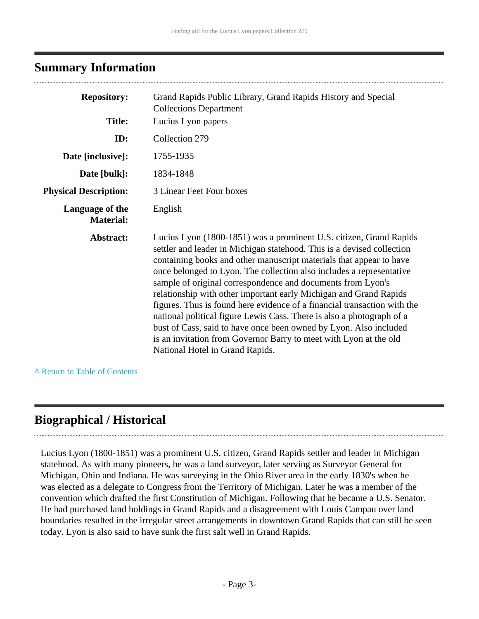### <span id="page-2-0"></span>**Summary Information**

| <b>Repository:</b>                  | Grand Rapids Public Library, Grand Rapids History and Special<br><b>Collections Department</b>                                                                                                                                                                                                                                                                                                                                                                                                                                                                                                                                                                                                                                                                    |
|-------------------------------------|-------------------------------------------------------------------------------------------------------------------------------------------------------------------------------------------------------------------------------------------------------------------------------------------------------------------------------------------------------------------------------------------------------------------------------------------------------------------------------------------------------------------------------------------------------------------------------------------------------------------------------------------------------------------------------------------------------------------------------------------------------------------|
| <b>Title:</b>                       | Lucius Lyon papers                                                                                                                                                                                                                                                                                                                                                                                                                                                                                                                                                                                                                                                                                                                                                |
| ID:                                 | Collection 279                                                                                                                                                                                                                                                                                                                                                                                                                                                                                                                                                                                                                                                                                                                                                    |
| Date [inclusive]:                   | 1755-1935                                                                                                                                                                                                                                                                                                                                                                                                                                                                                                                                                                                                                                                                                                                                                         |
| Date [bulk]:                        | 1834-1848                                                                                                                                                                                                                                                                                                                                                                                                                                                                                                                                                                                                                                                                                                                                                         |
| <b>Physical Description:</b>        | 3 Linear Feet Four boxes                                                                                                                                                                                                                                                                                                                                                                                                                                                                                                                                                                                                                                                                                                                                          |
| Language of the<br><b>Material:</b> | English                                                                                                                                                                                                                                                                                                                                                                                                                                                                                                                                                                                                                                                                                                                                                           |
| Abstract:                           | Lucius Lyon (1800-1851) was a prominent U.S. citizen, Grand Rapids<br>settler and leader in Michigan statehood. This is a devised collection<br>containing books and other manuscript materials that appear to have<br>once belonged to Lyon. The collection also includes a representative<br>sample of original correspondence and documents from Lyon's<br>relationship with other important early Michigan and Grand Rapids<br>figures. Thus is found here evidence of a financial transaction with the<br>national political figure Lewis Cass. There is also a photograph of a<br>bust of Cass, said to have once been owned by Lyon. Also included<br>is an invitation from Governor Barry to meet with Lyon at the old<br>National Hotel in Grand Rapids. |

**^** [Return to Table of Contents](#page-1-0)

### <span id="page-2-1"></span>**Biographical / Historical**

Lucius Lyon (1800-1851) was a prominent U.S. citizen, Grand Rapids settler and leader in Michigan statehood. As with many pioneers, he was a land surveyor, later serving as Surveyor General for Michigan, Ohio and Indiana. He was surveying in the Ohio River area in the early 1830's when he was elected as a delegate to Congress from the Territory of Michigan. Later he was a member of the convention which drafted the first Constitution of Michigan. Following that he became a U.S. Senator. He had purchased land holdings in Grand Rapids and a disagreement with Louis Campau over land boundaries resulted in the irregular street arrangements in downtown Grand Rapids that can still be seen today. Lyon is also said to have sunk the first salt well in Grand Rapids.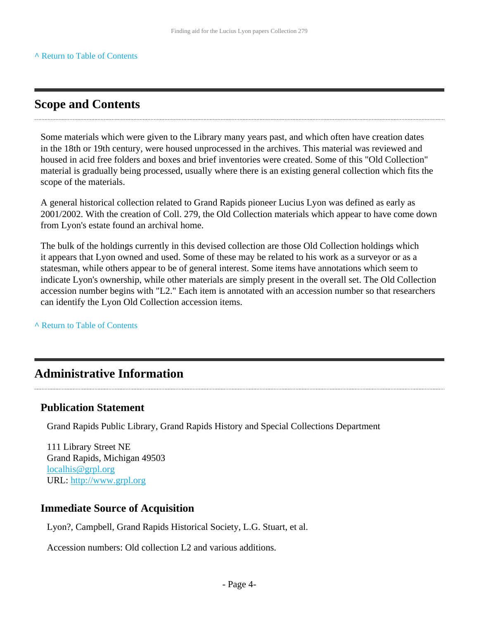### <span id="page-3-0"></span>**Scope and Contents**

Some materials which were given to the Library many years past, and which often have creation dates in the 18th or 19th century, were housed unprocessed in the archives. This material was reviewed and housed in acid free folders and boxes and brief inventories were created. Some of this "Old Collection" material is gradually being processed, usually where there is an existing general collection which fits the scope of the materials.

A general historical collection related to Grand Rapids pioneer Lucius Lyon was defined as early as 2001/2002. With the creation of Coll. 279, the Old Collection materials which appear to have come down from Lyon's estate found an archival home.

The bulk of the holdings currently in this devised collection are those Old Collection holdings which it appears that Lyon owned and used. Some of these may be related to his work as a surveyor or as a statesman, while others appear to be of general interest. Some items have annotations which seem to indicate Lyon's ownership, while other materials are simply present in the overall set. The Old Collection accession number begins with "L2." Each item is annotated with an accession number so that researchers can identify the Lyon Old Collection accession items.

**^** [Return to Table of Contents](#page-1-0)

### <span id="page-3-1"></span>**Administrative Information**

#### **Publication Statement**

Grand Rapids Public Library, Grand Rapids History and Special Collections Department

111 Library Street NE Grand Rapids, Michigan 49503 [localhis@grpl.org](mailto:localhis@grpl.org) URL:<http://www.grpl.org>

#### **Immediate Source of Acquisition**

Lyon?, Campbell, Grand Rapids Historical Society, L.G. Stuart, et al.

Accession numbers: Old collection L2 and various additions.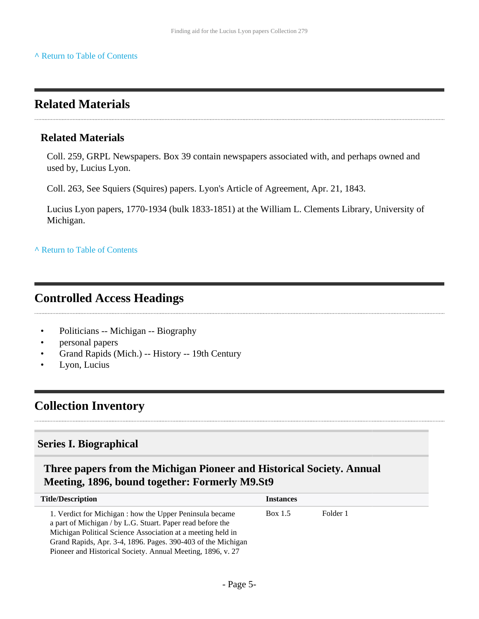### <span id="page-4-0"></span>**Related Materials**

#### **Related Materials**

Coll. 259, GRPL Newspapers. Box 39 contain newspapers associated with, and perhaps owned and used by, Lucius Lyon.

Coll. 263, See Squiers (Squires) papers. Lyon's Article of Agreement, Apr. 21, 1843.

Lucius Lyon papers, 1770-1934 (bulk 1833-1851) at the William L. Clements Library, University of Michigan.

**^** [Return to Table of Contents](#page-1-0)

### <span id="page-4-1"></span>**Controlled Access Headings**

- Politicians -- Michigan -- Biography
- personal papers
- Grand Rapids (Mich.) -- History -- 19th Century
- Lyon, Lucius

### <span id="page-4-2"></span>**Collection Inventory**

#### <span id="page-4-3"></span>**Series I. Biographical**

#### <span id="page-4-4"></span>**Three papers from the Michigan Pioneer and Historical Society. Annual Meeting, 1896, bound together: Formerly M9.St9**

| <b>Title/Description</b>                                                                                                                                                                                                                                                                                             | <b>Instances</b> |          |
|----------------------------------------------------------------------------------------------------------------------------------------------------------------------------------------------------------------------------------------------------------------------------------------------------------------------|------------------|----------|
| 1. Verdict for Michigan : how the Upper Peninsula became<br>a part of Michigan / by L.G. Stuart. Paper read before the<br>Michigan Political Science Association at a meeting held in<br>Grand Rapids, Apr. 3-4, 1896. Pages. 390-403 of the Michigan<br>Pioneer and Historical Society. Annual Meeting, 1896, v. 27 | Box 1.5          | Folder 1 |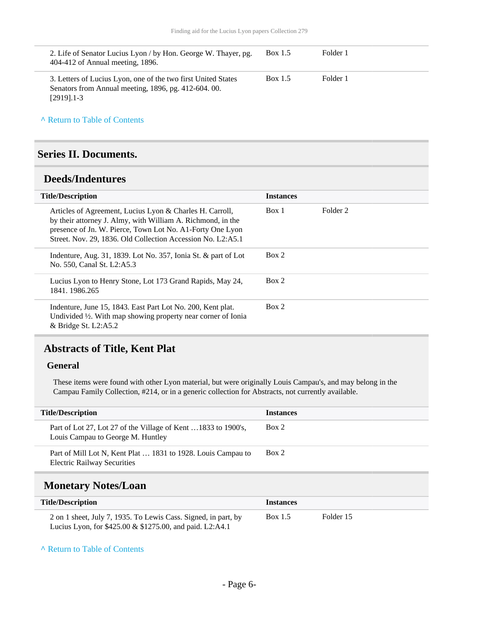| 2. Life of Senator Lucius Lyon / by Hon. George W. Thayer, pg.<br>Box 1.5<br>404-412 of Annual meeting, 1896.                                      | Folder 1 |
|----------------------------------------------------------------------------------------------------------------------------------------------------|----------|
| Box 1.5<br>3. Letters of Lucius Lyon, one of the two first United States<br>Senators from Annual meeting, 1896, pg. 412-604. 00.<br>$[2919]$ . 1-3 | Folder 1 |

**^** [Return to Table of Contents](#page-1-0)

#### <span id="page-5-0"></span>**Series II. Documents.**

#### <span id="page-5-1"></span>**Deeds/Indentures**

| <b>Title/Description</b>                                                                                                                                                                                                                            | <b>Instances</b> |          |
|-----------------------------------------------------------------------------------------------------------------------------------------------------------------------------------------------------------------------------------------------------|------------------|----------|
| Articles of Agreement, Lucius Lyon & Charles H. Carroll,<br>by their attorney J. Almy, with William A. Richmond, in the<br>presence of Jn. W. Pierce, Town Lot No. A1-Forty One Lyon<br>Street. Nov. 29, 1836. Old Collection Accession No. L2:A5.1 | Box 1            | Folder 2 |
| Indenture, Aug. 31, 1839. Lot No. $357$ , Ionia St. & part of Lot<br>No. 550, Canal St. L2:A5.3                                                                                                                                                     | Box 2            |          |
| Lucius Lyon to Henry Stone, Lot 173 Grand Rapids, May 24,<br>1841. 1986.265                                                                                                                                                                         | Box 2            |          |
| Indenture, June 15, 1843. East Part Lot No. 200, Kent plat.<br>Undivided $\frac{1}{2}$ . With map showing property near corner of Ionia<br>$&$ Bridge St. L2:A5.2                                                                                   | Box 2            |          |

#### <span id="page-5-2"></span>**Abstracts of Title, Kent Plat**

#### **General**

These items were found with other Lyon material, but were originally Louis Campau's, and may belong in the Campau Family Collection, #214, or in a generic collection for Abstracts, not currently available.

| <b>Title/Description</b>                                                                           | <i><u><b>Instances</b></u></i> |
|----------------------------------------------------------------------------------------------------|--------------------------------|
| Part of Lot 27, Lot 27 of the Village of Kent 1833 to 1900's,<br>Louis Campau to George M. Huntley | Box 2                          |
| Part of Mill Lot N, Kent Plat  1831 to 1928. Louis Campau to<br><b>Electric Railway Securities</b> | Box 2                          |

### <span id="page-5-3"></span>**Monetary Notes/Loan**

| <b>Title/Description</b>                                                                                                   | <b>Instances</b> |           |  |
|----------------------------------------------------------------------------------------------------------------------------|------------------|-----------|--|
| 2 on 1 sheet, July 7, 1935. To Lewis Cass. Signed, in part, by<br>Lucius Lyon, for \$425.00 & \$1275.00, and paid. L2:A4.1 | Box 1.5          | Folder 15 |  |

#### **^** [Return to Table of Contents](#page-1-0)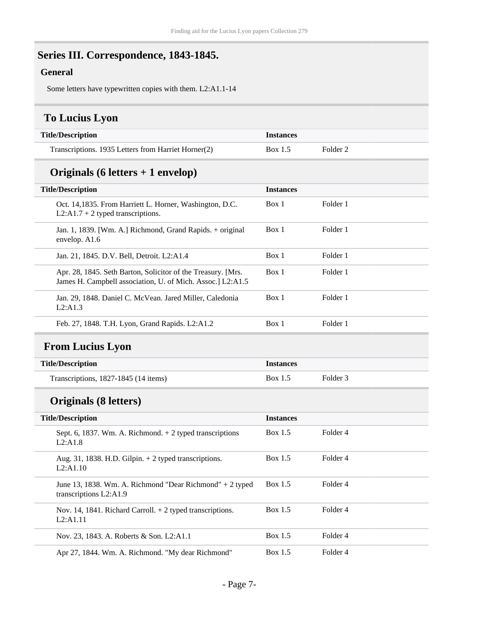# <span id="page-6-0"></span>**Series III. Correspondence, 1843-1845.**

#### **General**

Some letters have typewritten copies with them. L2:A1.1-14

### <span id="page-6-1"></span>**To Lucius Lyon**

| <b>Title/Description</b>                            | <i>Instances</i> |                     |
|-----------------------------------------------------|------------------|---------------------|
| Transcriptions. 1935 Letters from Harriet Horner(2) | Box 1.5          | Folder <sub>2</sub> |

### **Originals (6 letters + 1 envelop)**

| <b>Title/Description</b>                                                                                                   | <b>Instances</b> |          |
|----------------------------------------------------------------------------------------------------------------------------|------------------|----------|
| Oct. 14,1835. From Harriett L. Horner, Washington, D.C.<br>$L2:A1.7 + 2$ typed transcriptions.                             | Box 1            | Folder 1 |
| Jan. 1, 1839. [Wm. A.] Richmond, Grand Rapids. + original<br>envelop. A1.6                                                 | Box 1            | Folder 1 |
| Jan. 21, 1845. D.V. Bell, Detroit. L2:A1.4                                                                                 | Box 1            | Folder 1 |
| Apr. 28, 1845. Seth Barton, Solicitor of the Treasury. [Mrs.]<br>James H. Campbell association, U. of Mich. Assoc. L2:A1.5 | Box 1            | Folder 1 |
| Jan. 29, 1848. Daniel C. McVean. Jared Miller, Caledonia<br>L2:A1.3                                                        | Box 1            | Folder 1 |
| Feb. 27, 1848. T.H. Lyon, Grand Rapids. L2:A1.2                                                                            | Box 1            | Folder 1 |

### <span id="page-6-2"></span>**From Lucius Lyon**

| <b>Title/Description</b>             | <b>Instances</b> |          |
|--------------------------------------|------------------|----------|
| Transcriptions, 1827-1845 (14 items) | Box 1.5          | Folder 3 |

### **Originals (8 letters)**

| <b>Title/Description</b>                                                             | <b>Instances</b> |          |
|--------------------------------------------------------------------------------------|------------------|----------|
| Sept. 6, 1837. Wm. A. Richmond. $+ 2$ typed transcriptions<br>L2:AI.8                | Box 1.5          | Folder 4 |
| Aug. 31, 1838. H.D. Gilpin. $+ 2$ typed transcriptions.<br>L2:A1.10                  | Box 1.5          | Folder 4 |
| June 13, 1838. Wm. A. Richmond "Dear Richmond" $+ 2$ typed<br>transcriptions L2:A1.9 | Box 1.5          | Folder 4 |
| Nov. 14, 1841. Richard Carroll. $+ 2$ typed transcriptions.<br>L2: A1.11             | Box $1.5$        | Folder 4 |
| Nov. 23, 1843. A. Roberts & Son. L2:A1.1                                             | Box 1.5          | Folder 4 |
| Apr 27, 1844. Wm. A. Richmond. "My dear Richmond"                                    | Box 1.5          | Folder 4 |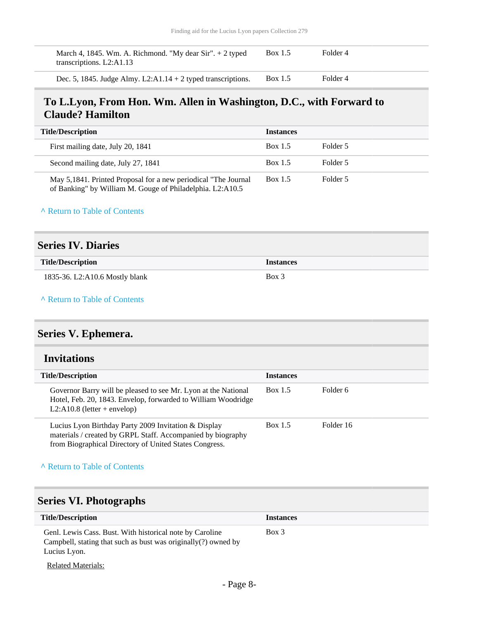| March 4, 1845. Wm. A. Richmond. "My dear Sir". $+ 2$ typed<br>transcriptions. $L2: A1.13$ | Box 1.5 | Folder 4 |  |
|-------------------------------------------------------------------------------------------|---------|----------|--|
| Dec. 5, 1845. Judge Almy. $L2:A1.14 + 2$ typed transcriptions.                            | Box 1.5 | Folder 4 |  |

#### <span id="page-7-0"></span>**To L.Lyon, From Hon. Wm. Allen in Washington, D.C., with Forward to Claude? Hamilton**

| <b>Title/Description</b>                                                                                                     | <b>Instances</b> |          |
|------------------------------------------------------------------------------------------------------------------------------|------------------|----------|
| First mailing date, July 20, 1841                                                                                            | Box 1.5          | Folder 5 |
| Second mailing date, July 27, 1841                                                                                           | Box 1.5          | Folder 5 |
| May 5,1841. Printed Proposal for a new periodical "The Journal"<br>of Banking" by William M. Gouge of Philadelphia. L2:A10.5 | Box 1.5          | Folder 5 |

**^** [Return to Table of Contents](#page-1-0)

#### <span id="page-7-1"></span>**Series IV. Diaries**

| <b>Title/Description</b>       | <b>Instances</b> |
|--------------------------------|------------------|
| 1835-36. L2:A10.6 Mostly blank | Box 3            |

**^** [Return to Table of Contents](#page-1-0)

### <span id="page-7-2"></span>**Series V. Ephemera.**

#### <span id="page-7-3"></span>**Invitations**

| <b>Title/Description</b>                                                                                                                                                      | <b>Instances</b> |           |
|-------------------------------------------------------------------------------------------------------------------------------------------------------------------------------|------------------|-----------|
| Governor Barry will be pleased to see Mr. Lyon at the National<br>Hotel, Feb. 20, 1843. Envelop, forwarded to William Woodridge<br>L2:A10.8 (letter + envelop)                | Box 1.5          | Folder 6  |
| Lucius Lyon Birthday Party 2009 Invitation & Display<br>materials / created by GRPL Staff. Accompanied by biography<br>from Biographical Directory of United States Congress. | Box 1.5          | Folder 16 |

#### **^** [Return to Table of Contents](#page-1-0)

### <span id="page-7-4"></span>**Series VI. Photographs**

| <b>Title/Description</b>                                                                                                                      | <b>Instances</b> |
|-----------------------------------------------------------------------------------------------------------------------------------------------|------------------|
| Genl. Lewis Cass. Bust. With historical note by Caroline<br>Campbell, stating that such as bust was originally $(?)$ owned by<br>Lucius Lyon. | $Box\ 3$         |
| <b>Related Materials:</b>                                                                                                                     |                  |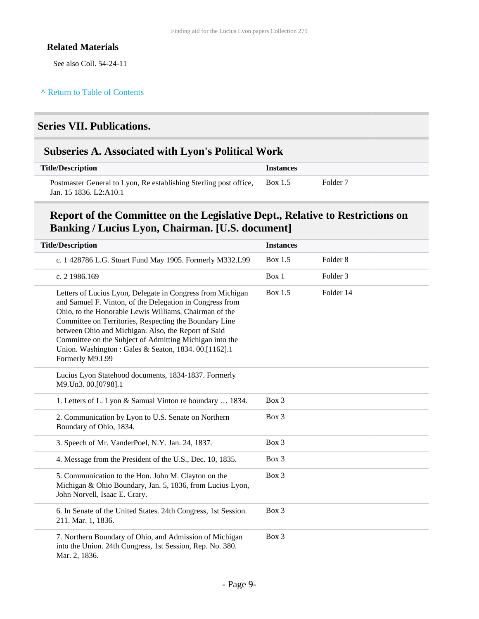#### **Related Materials**

See also Coll. 54-24-11

### <span id="page-8-0"></span>**Series VII. Publications.**

#### <span id="page-8-1"></span>**Subseries A. Associated with Lyon's Political Work**

| <b>Title/Description</b>                                                                    | <i><u><b>Instances</b></u></i> |                     |
|---------------------------------------------------------------------------------------------|--------------------------------|---------------------|
| Postmaster General to Lyon, Re establishing Sterling post office,<br>Jan. 15 1836. L2:A10.1 | <b>Box</b> 1.5                 | Folder <sub>7</sub> |

#### **Report of the Committee on the Legislative Dept., Relative to Restrictions on Banking / Lucius Lyon, Chairman. [U.S. document]**

| <b>Title/Description</b>                                                                                                                                                                                                                                                                                                                                                                                                                | <b>Instances</b> |                     |
|-----------------------------------------------------------------------------------------------------------------------------------------------------------------------------------------------------------------------------------------------------------------------------------------------------------------------------------------------------------------------------------------------------------------------------------------|------------------|---------------------|
| c. 1 428786 L.G. Stuart Fund May 1905. Formerly M332.L99                                                                                                                                                                                                                                                                                                                                                                                | <b>Box 1.5</b>   | Folder <sub>8</sub> |
| c. 2 1986.169                                                                                                                                                                                                                                                                                                                                                                                                                           | Box 1            | Folder <sub>3</sub> |
| Letters of Lucius Lyon, Delegate in Congress from Michigan<br>and Samuel F. Vinton, of the Delegation in Congress from<br>Ohio, to the Honorable Lewis Williams, Chairman of the<br>Committee on Territories, Respecting the Boundary Line<br>between Ohio and Michigan. Also, the Report of Said<br>Committee on the Subject of Admitting Michigan into the<br>Union. Washington: Gales & Seaton, 1834. 00.[1162].1<br>Formerly M9.L99 | Box 1.5          | Folder 14           |
| Lucius Lyon Statehood documents, 1834-1837. Formerly<br>M9.Un3. 00.[0798].1                                                                                                                                                                                                                                                                                                                                                             |                  |                     |
| 1. Letters of L. Lyon & Samual Vinton re boundary  1834.                                                                                                                                                                                                                                                                                                                                                                                | Box 3            |                     |
| 2. Communication by Lyon to U.S. Senate on Northern<br>Boundary of Ohio, 1834.                                                                                                                                                                                                                                                                                                                                                          | Box 3            |                     |
| 3. Speech of Mr. VanderPoel, N.Y. Jan. 24, 1837.                                                                                                                                                                                                                                                                                                                                                                                        | Box 3            |                     |
| 4. Message from the President of the U.S., Dec. 10, 1835.                                                                                                                                                                                                                                                                                                                                                                               | Box 3            |                     |
| 5. Communication to the Hon. John M. Clayton on the<br>Michigan & Ohio Boundary, Jan. 5, 1836, from Lucius Lyon,<br>John Norvell, Isaac E. Crary.                                                                                                                                                                                                                                                                                       | Box 3            |                     |
| 6. In Senate of the United States. 24th Congress, 1st Session.<br>211. Mar. 1, 1836.                                                                                                                                                                                                                                                                                                                                                    | Box 3            |                     |
| 7. Northern Boundary of Ohio, and Admission of Michigan<br>into the Union. 24th Congress, 1st Session, Rep. No. 380.<br>Mar. 2, 1836.                                                                                                                                                                                                                                                                                                   | Box 3            |                     |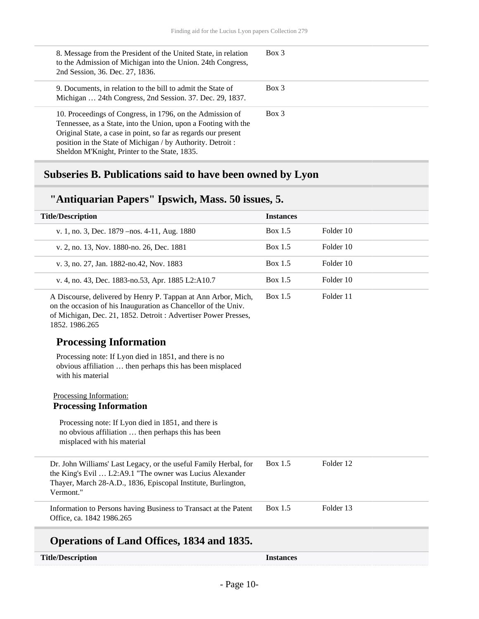| 8. Message from the President of the United State, in relation<br>to the Admission of Michigan into the Union. 24th Congress,<br>2nd Session, 36. Dec. 27, 1836.                                                                                                                                             | $Box$ 3 |
|--------------------------------------------------------------------------------------------------------------------------------------------------------------------------------------------------------------------------------------------------------------------------------------------------------------|---------|
| 9. Documents, in relation to the bill to admit the State of<br>Michigan  24th Congress, 2nd Session. 37. Dec. 29, 1837.                                                                                                                                                                                      | Box 3   |
| 10. Proceedings of Congress, in 1796, on the Admission of<br>Tennessee, as a State, into the Union, upon a Footing with the<br>Original State, a case in point, so far as regards our present<br>position in the State of Michigan / by Authority. Detroit:<br>Sheldon M'Knight, Printer to the State, 1835. | Box 3   |

# <span id="page-9-0"></span>**Subseries B. Publications said to have been owned by Lyon**

### **"Antiquarian Papers" Ipswich, Mass. 50 issues, 5.**

| <b>Title/Description</b>                                                                                                                                                                                            | <b>Instances</b> |           |  |
|---------------------------------------------------------------------------------------------------------------------------------------------------------------------------------------------------------------------|------------------|-----------|--|
| v. 1, no. 3, Dec. 1879 - nos. 4-11, Aug. 1880                                                                                                                                                                       | <b>Box 1.5</b>   | Folder 10 |  |
| v. 2, no. 13, Nov. 1880-no. 26, Dec. 1881                                                                                                                                                                           | Box 1.5          | Folder 10 |  |
| v. 3, no. 27, Jan. 1882-no. 42, Nov. 1883                                                                                                                                                                           | <b>Box 1.5</b>   | Folder 10 |  |
| v. 4, no. 43, Dec. 1883-no.53, Apr. 1885 L2:A10.7                                                                                                                                                                   | Box 1.5          | Folder 10 |  |
| A Discourse, delivered by Henry P. Tappan at Ann Arbor, Mich,<br>on the occasion of his Inauguration as Chancellor of the Univ.<br>of Michigan, Dec. 21, 1852. Detroit: Advertiser Power Presses,<br>1852. 1986.265 | Box 1.5          | Folder 11 |  |
| <b>Processing Information</b>                                                                                                                                                                                       |                  |           |  |
| Processing note: If Lyon died in 1851, and there is no<br>obvious affiliation  then perhaps this has been misplaced<br>with his material                                                                            |                  |           |  |
| Processing Information:<br><b>Processing Information</b>                                                                                                                                                            |                  |           |  |
| Processing note: If Lyon died in 1851, and there is<br>no obvious affiliation  then perhaps this has been<br>misplaced with his material                                                                            |                  |           |  |
| Dr. John Williams' Last Legacy, or the useful Family Herbal, for<br>the King's Evil  L2:A9.1 "The owner was Lucius Alexander<br>Thayer, March 28-A.D., 1836, Episcopal Institute, Burlington,<br>Vermont."          | Box 1.5          | Folder 12 |  |
| Information to Persons having Business to Transact at the Patent<br>Office, ca. 1842 1986.265                                                                                                                       | Box 1.5          | Folder 13 |  |

#### **Operations of Land Offices, 1834 and 1835.**

| <b>Title/Description</b> |  |
|--------------------------|--|
|--------------------------|--|

**Instances**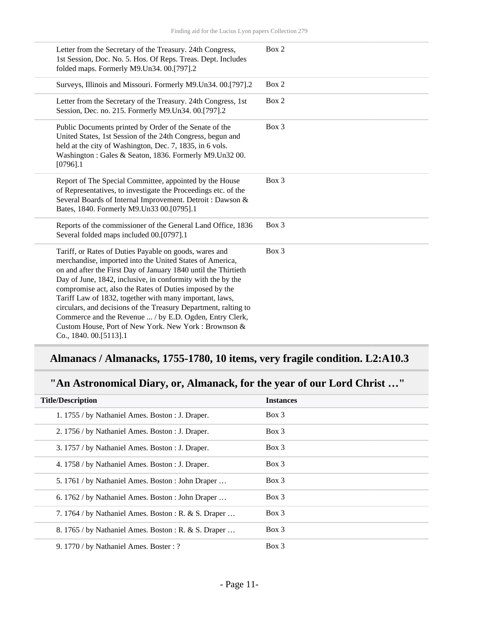| Letter from the Secretary of the Treasury. 24th Congress,<br>1st Session, Doc. No. 5. Hos. Of Reps. Treas. Dept. Includes<br>folded maps. Formerly M9.Un34. 00.[797].2                                                                                                                                                                                                                                                                                                                                                                                                                    | Box 2 |
|-------------------------------------------------------------------------------------------------------------------------------------------------------------------------------------------------------------------------------------------------------------------------------------------------------------------------------------------------------------------------------------------------------------------------------------------------------------------------------------------------------------------------------------------------------------------------------------------|-------|
| Surveys, Illinois and Missouri. Formerly M9.Un34. 00.[797].2                                                                                                                                                                                                                                                                                                                                                                                                                                                                                                                              | Box 2 |
| Letter from the Secretary of the Treasury. 24th Congress, 1st<br>Session, Dec. no. 215. Formerly M9. Un34. 00. [797]. 2                                                                                                                                                                                                                                                                                                                                                                                                                                                                   | Box 2 |
| Public Documents printed by Order of the Senate of the<br>United States, 1st Session of the 24th Congress, begun and<br>held at the city of Washington, Dec. 7, 1835, in 6 vols.<br>Washington: Gales & Seaton, 1836. Formerly M9.Un32 00.<br>$[0796]$ .1                                                                                                                                                                                                                                                                                                                                 | Box 3 |
| Report of The Special Committee, appointed by the House<br>of Representatives, to investigate the Proceedings etc. of the<br>Several Boards of Internal Improvement. Detroit : Dawson &<br>Bates, 1840. Formerly M9. Un33 00. [0795]. 1                                                                                                                                                                                                                                                                                                                                                   | Box 3 |
| Reports of the commissioner of the General Land Office, 1836<br>Several folded maps included 00.[0797].1                                                                                                                                                                                                                                                                                                                                                                                                                                                                                  | Box 3 |
| Tariff, or Rates of Duties Payable on goods, wares and<br>merchandise, imported into the United States of America,<br>on and after the First Day of January 1840 until the Thirtieth<br>Day of June, 1842, inclusive, in conformity with the by the<br>compromise act, also the Rates of Duties imposed by the<br>Tariff Law of 1832, together with many important, laws,<br>circulars, and decisions of the Treasury Department, ralting to<br>Commerce and the Revenue  / by E.D. Ogden, Entry Clerk,<br>Custom House, Port of New York. New York: Brownson &<br>Co., 1840. 00.[5113].1 | Box 3 |

# **Almanacs / Almanacks, 1755-1780, 10 items, very fragile condition. L2:A10.3**

### **"An Astronomical Diary, or, Almanack, for the year of our Lord Christ …"**

| <b>Title/Description</b>                             | <b>Instances</b> |
|------------------------------------------------------|------------------|
| 1. 1755 / by Nathaniel Ames. Boston : J. Draper.     | $Box\ 3$         |
| 2. 1756 / by Nathaniel Ames. Boston : J. Draper.     | $Box\ 3$         |
| 3. 1757 / by Nathaniel Ames. Boston : J. Draper.     | $Box\ 3$         |
| 4. 1758 / by Nathaniel Ames. Boston : J. Draper.     | $Box$ 3          |
| 5. 1761 / by Nathaniel Ames. Boston : John Draper    | $Box$ 3          |
| 6. 1762 / by Nathaniel Ames. Boston : John Draper    | $Box\ 3$         |
| 7. 1764 / by Nathaniel Ames. Boston : R. & S. Draper | $Box$ 3          |
| 8. 1765 / by Nathaniel Ames. Boston : R. & S. Draper | $Box$ 3          |
| 9. 1770 / by Nathaniel Ames. Boster: ?               | $Box$ 3          |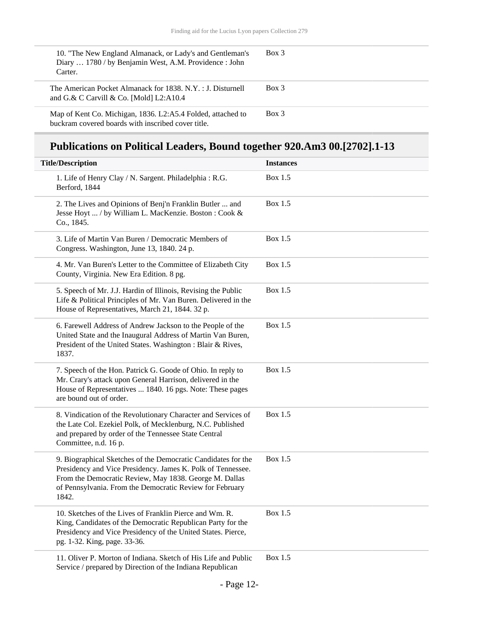| 10. "The New England Almanack, or Lady's and Gentleman's<br>Diary  1780 / by Benjamin West, A.M. Providence : John<br>Carter. | $Box$ 3 |
|-------------------------------------------------------------------------------------------------------------------------------|---------|
| The American Pocket Almanack for 1838. N.Y. : J. Disturnell<br>and G.& C Carvill & Co. [Mold] $L2:A10.4$                      | $Box$ 3 |
| Map of Kent Co. Michigan, 1836. L2:A5.4 Folded, attached to<br>buckram covered boards with inscribed cover title.             | Box 3   |

# **Publications on Political Leaders, Bound together 920.Am3 00.[2702].1-13**

| <b>Title/Description</b>                                                                                                                                                                                                                                    | <b>Instances</b> |
|-------------------------------------------------------------------------------------------------------------------------------------------------------------------------------------------------------------------------------------------------------------|------------------|
| 1. Life of Henry Clay / N. Sargent. Philadelphia: R.G.<br>Berford, 1844                                                                                                                                                                                     | Box 1.5          |
| 2. The Lives and Opinions of Benj'n Franklin Butler  and<br>Jesse Hoyt  / by William L. MacKenzie. Boston : Cook &<br>Co., 1845.                                                                                                                            | Box 1.5          |
| 3. Life of Martin Van Buren / Democratic Members of<br>Congress. Washington, June 13, 1840. 24 p.                                                                                                                                                           | Box 1.5          |
| 4. Mr. Van Buren's Letter to the Committee of Elizabeth City<br>County, Virginia. New Era Edition. 8 pg.                                                                                                                                                    | Box 1.5          |
| 5. Speech of Mr. J.J. Hardin of Illinois, Revising the Public<br>Life & Political Principles of Mr. Van Buren. Delivered in the<br>House of Representatives, March 21, 1844. 32 p.                                                                          | Box 1.5          |
| 6. Farewell Address of Andrew Jackson to the People of the<br>United State and the Inaugural Address of Martin Van Buren,<br>President of the United States. Washington: Blair & Rives,<br>1837.                                                            | Box 1.5          |
| 7. Speech of the Hon. Patrick G. Goode of Ohio. In reply to<br>Mr. Crary's attack upon General Harrison, delivered in the<br>House of Representatives  1840. 16 pgs. Note: These pages<br>are bound out of order.                                           | Box 1.5          |
| 8. Vindication of the Revolutionary Character and Services of<br>the Late Col. Ezekiel Polk, of Mecklenburg, N.C. Published<br>and prepared by order of the Tennessee State Central<br>Committee, n.d. 16 p.                                                | Box 1.5          |
| 9. Biographical Sketches of the Democratic Candidates for the<br>Presidency and Vice Presidency. James K. Polk of Tennessee.<br>From the Democratic Review, May 1838. George M. Dallas<br>of Pennsylvania. From the Democratic Review for February<br>1842. | Box 1.5          |
| 10. Sketches of the Lives of Franklin Pierce and Wm. R.<br>King, Candidates of the Democratic Republican Party for the<br>Presidency and Vice Presidency of the United States. Pierce,<br>pg. 1-32. King, page. 33-36.                                      | Box 1.5          |
| 11. Oliver P. Morton of Indiana. Sketch of His Life and Public<br>Service / prepared by Direction of the Indiana Republican                                                                                                                                 | Box 1.5          |